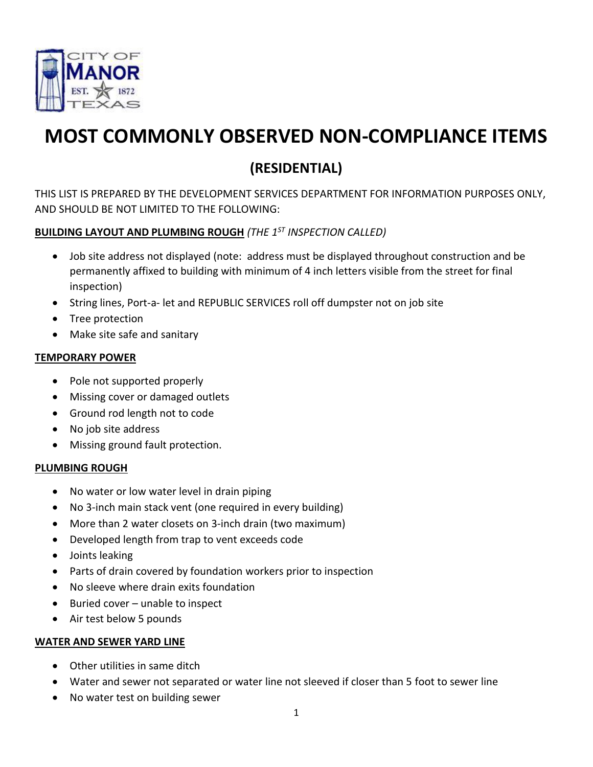

# **MOST COMMONLY OBSERVED NON-COMPLIANCE ITEMS**

# **(RESIDENTIAL)**

THIS LIST IS PREPARED BY THE DEVELOPMENT SERVICES DEPARTMENT FOR INFORMATION PURPOSES ONLY, AND SHOULD BE NOT LIMITED TO THE FOLLOWING:

# **BUILDING LAYOUT AND PLUMBING ROUGH** *(THE 1ST INSPECTION CALLED)*

- Job site address not displayed (note: address must be displayed throughout construction and be permanently affixed to building with minimum of 4 inch letters visible from the street for final inspection)
- String lines, Port-a- let and REPUBLIC SERVICES roll off dumpster not on job site
- Tree protection
- Make site safe and sanitary

# **TEMPORARY POWER**

- Pole not supported properly
- Missing cover or damaged outlets
- Ground rod length not to code
- No job site address
- Missing ground fault protection.

# **PLUMBING ROUGH**

- No water or low water level in drain piping
- No 3-inch main stack vent (one required in every building)
- More than 2 water closets on 3-inch drain (two maximum)
- Developed length from trap to vent exceeds code
- Joints leaking
- Parts of drain covered by foundation workers prior to inspection
- No sleeve where drain exits foundation
- Buried cover unable to inspect
- Air test below 5 pounds

# **WATER AND SEWER YARD LINE**

- Other utilities in same ditch
- Water and sewer not separated or water line not sleeved if closer than 5 foot to sewer line
- No water test on building sewer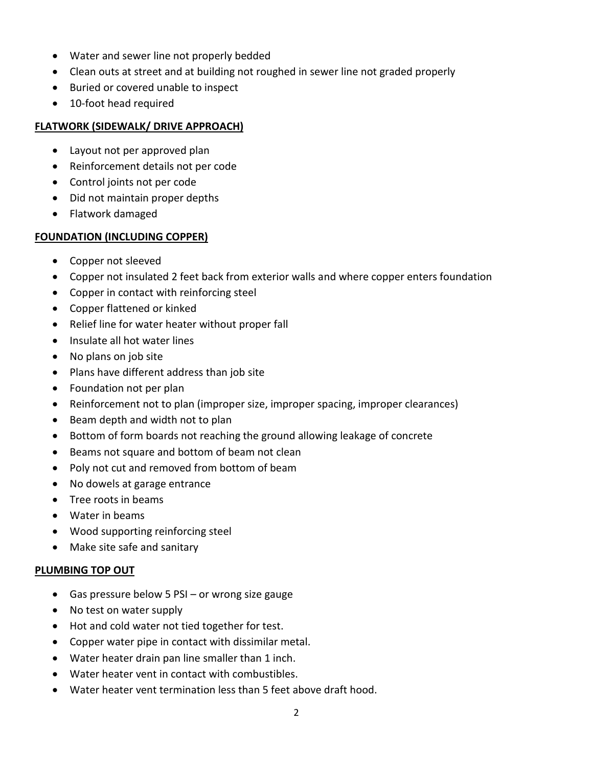- Water and sewer line not properly bedded
- Clean outs at street and at building not roughed in sewer line not graded properly
- Buried or covered unable to inspect
- 10-foot head required

#### **FLATWORK (SIDEWALK/ DRIVE APPROACH)**

- Layout not per approved plan
- Reinforcement details not per code
- Control joints not per code
- Did not maintain proper depths
- Flatwork damaged

## **FOUNDATION (INCLUDING COPPER)**

- Copper not sleeved
- Copper not insulated 2 feet back from exterior walls and where copper enters foundation
- Copper in contact with reinforcing steel
- Copper flattened or kinked
- Relief line for water heater without proper fall
- Insulate all hot water lines
- No plans on job site
- Plans have different address than job site
- Foundation not per plan
- Reinforcement not to plan (improper size, improper spacing, improper clearances)
- Beam depth and width not to plan
- Bottom of form boards not reaching the ground allowing leakage of concrete
- Beams not square and bottom of beam not clean
- Poly not cut and removed from bottom of beam
- No dowels at garage entrance
- Tree roots in beams
- Water in beams
- Wood supporting reinforcing steel
- Make site safe and sanitary

#### **PLUMBING TOP OUT**

- Gas pressure below 5 PSI or wrong size gauge
- No test on water supply
- Hot and cold water not tied together for test.
- Copper water pipe in contact with dissimilar metal.
- Water heater drain pan line smaller than 1 inch.
- Water heater vent in contact with combustibles.
- Water heater vent termination less than 5 feet above draft hood.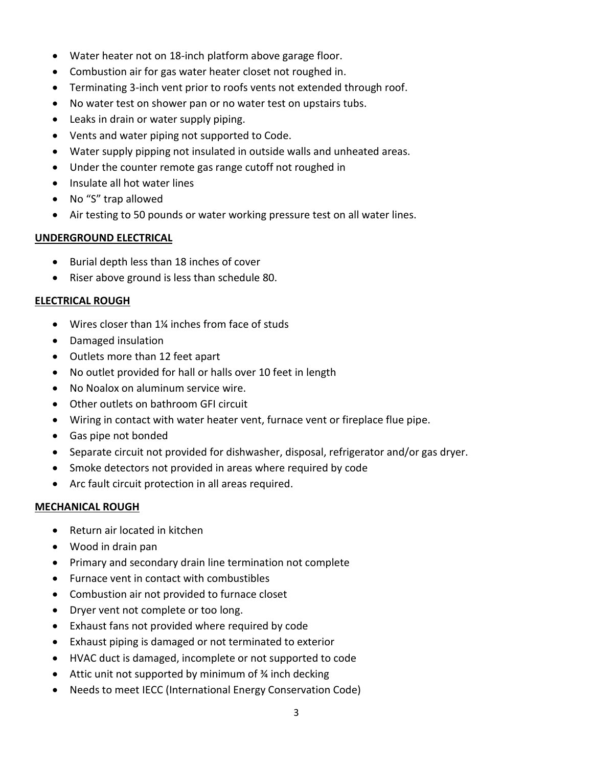- Water heater not on 18-inch platform above garage floor.
- Combustion air for gas water heater closet not roughed in.
- Terminating 3-inch vent prior to roofs vents not extended through roof.
- No water test on shower pan or no water test on upstairs tubs.
- Leaks in drain or water supply piping.
- Vents and water piping not supported to Code.
- Water supply pipping not insulated in outside walls and unheated areas.
- Under the counter remote gas range cutoff not roughed in
- Insulate all hot water lines
- No "S" trap allowed
- Air testing to 50 pounds or water working pressure test on all water lines.

#### **UNDERGROUND ELECTRICAL**

- Burial depth less than 18 inches of cover
- Riser above ground is less than schedule 80.

## **ELECTRICAL ROUGH**

- Wires closer than 1¼ inches from face of studs
- Damaged insulation
- Outlets more than 12 feet apart
- No outlet provided for hall or halls over 10 feet in length
- No Noalox on aluminum service wire.
- Other outlets on bathroom GFI circuit
- Wiring in contact with water heater vent, furnace vent or fireplace flue pipe.
- Gas pipe not bonded
- Separate circuit not provided for dishwasher, disposal, refrigerator and/or gas dryer.
- Smoke detectors not provided in areas where required by code
- Arc fault circuit protection in all areas required.

#### **MECHANICAL ROUGH**

- Return air located in kitchen
- Wood in drain pan
- Primary and secondary drain line termination not complete
- Furnace vent in contact with combustibles
- Combustion air not provided to furnace closet
- Dryer vent not complete or too long.
- Exhaust fans not provided where required by code
- Exhaust piping is damaged or not terminated to exterior
- HVAC duct is damaged, incomplete or not supported to code
- Attic unit not supported by minimum of ¾ inch decking
- Needs to meet IECC (International Energy Conservation Code)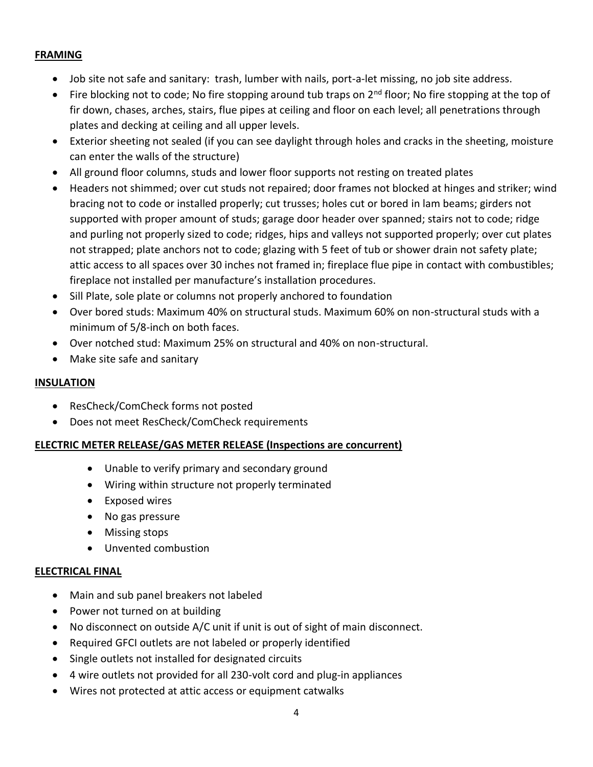#### **FRAMING**

- Job site not safe and sanitary: trash, lumber with nails, port-a-let missing, no job site address.
- Fire blocking not to code; No fire stopping around tub traps on 2<sup>nd</sup> floor; No fire stopping at the top of fir down, chases, arches, stairs, flue pipes at ceiling and floor on each level; all penetrations through plates and decking at ceiling and all upper levels.
- Exterior sheeting not sealed (if you can see daylight through holes and cracks in the sheeting, moisture can enter the walls of the structure)
- All ground floor columns, studs and lower floor supports not resting on treated plates
- Headers not shimmed; over cut studs not repaired; door frames not blocked at hinges and striker; wind bracing not to code or installed properly; cut trusses; holes cut or bored in lam beams; girders not supported with proper amount of studs; garage door header over spanned; stairs not to code; ridge and purling not properly sized to code; ridges, hips and valleys not supported properly; over cut plates not strapped; plate anchors not to code; glazing with 5 feet of tub or shower drain not safety plate; attic access to all spaces over 30 inches not framed in; fireplace flue pipe in contact with combustibles; fireplace not installed per manufacture's installation procedures.
- Sill Plate, sole plate or columns not properly anchored to foundation
- Over bored studs: Maximum 40% on structural studs. Maximum 60% on non-structural studs with a minimum of 5/8-inch on both faces.
- Over notched stud: Maximum 25% on structural and 40% on non-structural.
- Make site safe and sanitary

#### **INSULATION**

- ResCheck/ComCheck forms not posted
- Does not meet ResCheck/ComCheck requirements

#### **ELECTRIC METER RELEASE/GAS METER RELEASE (Inspections are concurrent)**

- Unable to verify primary and secondary ground
- Wiring within structure not properly terminated
- Exposed wires
- No gas pressure
- Missing stops
- Unvented combustion

#### **ELECTRICAL FINAL**

- Main and sub panel breakers not labeled
- Power not turned on at building
- No disconnect on outside A/C unit if unit is out of sight of main disconnect.
- Required GFCI outlets are not labeled or properly identified
- Single outlets not installed for designated circuits
- 4 wire outlets not provided for all 230-volt cord and plug-in appliances
- Wires not protected at attic access or equipment catwalks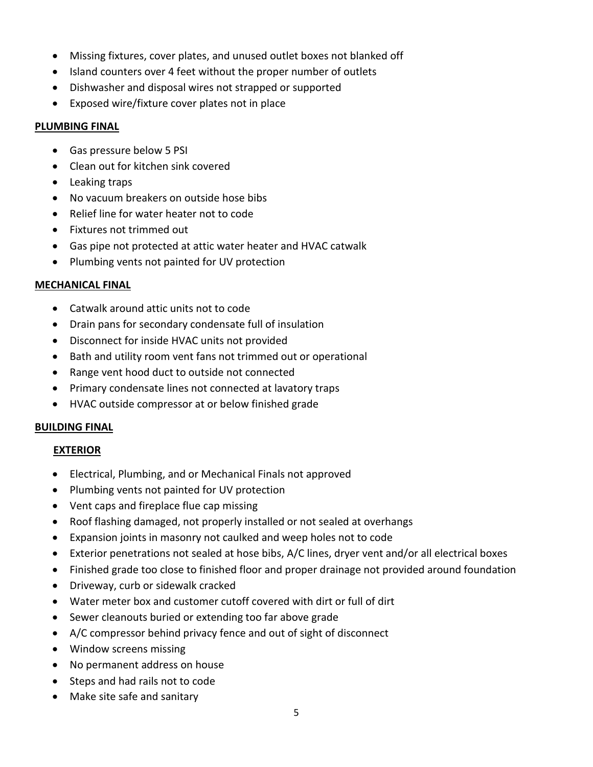- Missing fixtures, cover plates, and unused outlet boxes not blanked off
- Island counters over 4 feet without the proper number of outlets
- Dishwasher and disposal wires not strapped or supported
- Exposed wire/fixture cover plates not in place

#### **PLUMBING FINAL**

- Gas pressure below 5 PSI
- Clean out for kitchen sink covered
- Leaking traps
- No vacuum breakers on outside hose bibs
- Relief line for water heater not to code
- Fixtures not trimmed out
- Gas pipe not protected at attic water heater and HVAC catwalk
- Plumbing vents not painted for UV protection

#### **MECHANICAL FINAL**

- Catwalk around attic units not to code
- Drain pans for secondary condensate full of insulation
- Disconnect for inside HVAC units not provided
- Bath and utility room vent fans not trimmed out or operational
- Range vent hood duct to outside not connected
- Primary condensate lines not connected at lavatory traps
- HVAC outside compressor at or below finished grade

#### **BUILDING FINAL**

#### **EXTERIOR**

- Electrical, Plumbing, and or Mechanical Finals not approved
- Plumbing vents not painted for UV protection
- Vent caps and fireplace flue cap missing
- Roof flashing damaged, not properly installed or not sealed at overhangs
- Expansion joints in masonry not caulked and weep holes not to code
- Exterior penetrations not sealed at hose bibs, A/C lines, dryer vent and/or all electrical boxes
- Finished grade too close to finished floor and proper drainage not provided around foundation
- Driveway, curb or sidewalk cracked
- Water meter box and customer cutoff covered with dirt or full of dirt
- Sewer cleanouts buried or extending too far above grade
- A/C compressor behind privacy fence and out of sight of disconnect
- Window screens missing
- No permanent address on house
- Steps and had rails not to code
- Make site safe and sanitary